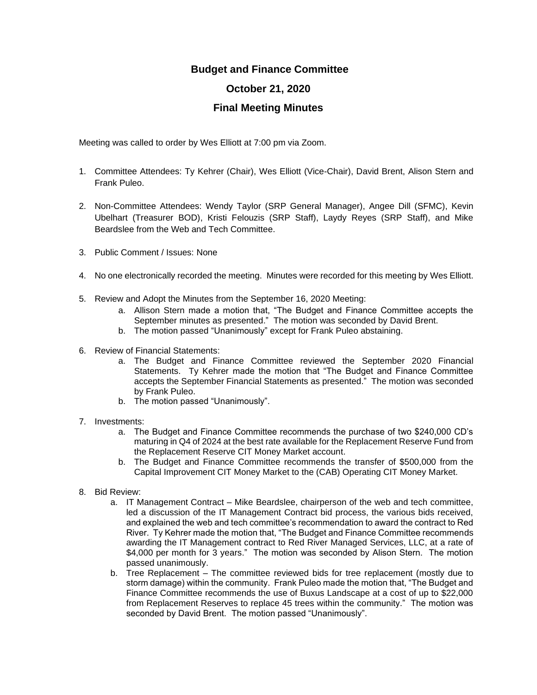## **Budget and Finance Committee**

## **October 21, 2020**

## **Final Meeting Minutes**

Meeting was called to order by Wes Elliott at 7:00 pm via Zoom.

- 1. Committee Attendees: Ty Kehrer (Chair), Wes Elliott (Vice-Chair), David Brent, Alison Stern and Frank Puleo.
- 2. Non-Committee Attendees: Wendy Taylor (SRP General Manager), Angee Dill (SFMC), Kevin Ubelhart (Treasurer BOD), Kristi Felouzis (SRP Staff), Laydy Reyes (SRP Staff), and Mike Beardslee from the Web and Tech Committee.
- 3. Public Comment / Issues: None
- 4. No one electronically recorded the meeting. Minutes were recorded for this meeting by Wes Elliott.
- 5. Review and Adopt the Minutes from the September 16, 2020 Meeting:
	- a. Allison Stern made a motion that, "The Budget and Finance Committee accepts the September minutes as presented." The motion was seconded by David Brent.
	- b. The motion passed "Unanimously" except for Frank Puleo abstaining.
- 6. Review of Financial Statements:
	- a. The Budget and Finance Committee reviewed the September 2020 Financial Statements. Ty Kehrer made the motion that "The Budget and Finance Committee accepts the September Financial Statements as presented." The motion was seconded by Frank Puleo.
	- b. The motion passed "Unanimously".
- 7. Investments:
	- a. The Budget and Finance Committee recommends the purchase of two \$240,000 CD's maturing in Q4 of 2024 at the best rate available for the Replacement Reserve Fund from the Replacement Reserve CIT Money Market account.
	- b. The Budget and Finance Committee recommends the transfer of \$500,000 from the Capital Improvement CIT Money Market to the (CAB) Operating CIT Money Market.
- 8. Bid Review:
	- a. IT Management Contract Mike Beardslee, chairperson of the web and tech committee, led a discussion of the IT Management Contract bid process, the various bids received, and explained the web and tech committee's recommendation to award the contract to Red River. Ty Kehrer made the motion that, "The Budget and Finance Committee recommends awarding the IT Management contract to Red River Managed Services, LLC, at a rate of \$4,000 per month for 3 years." The motion was seconded by Alison Stern. The motion passed unanimously.
	- b. Tree Replacement The committee reviewed bids for tree replacement (mostly due to storm damage) within the community. Frank Puleo made the motion that, "The Budget and Finance Committee recommends the use of Buxus Landscape at a cost of up to \$22,000 from Replacement Reserves to replace 45 trees within the community." The motion was seconded by David Brent. The motion passed "Unanimously".